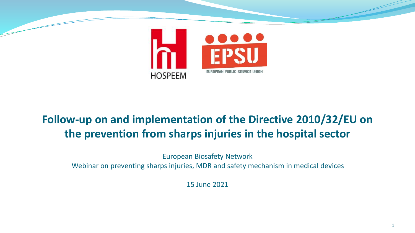

### **Follow-up on and implementation of the Directive 2010/32/EU on the prevention from sharps injuries in the hospital sector**

European Biosafety Network Webinar on preventing sharps injuries, MDR and safety mechanism in medical devices

15 June 2021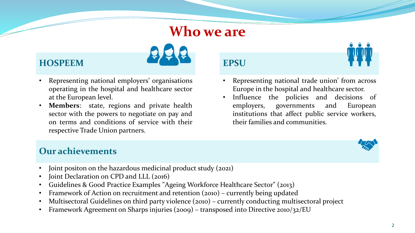### **Who we are**



- Representing national employers' organisations operating in the hospital and healthcare sector at the European level.
- **Members**: state, regions and private health sector with the powers to negotiate on pay and on terms and conditions of service with their respective Trade Union partners.



- Representing national trade union' from across Europe in the hospital and healthcare sector.
- Influence the policies and decisions of employers, governments and European institutions that affect public service workers, their families and communities.



### **Our achievements**

- Joint positon on the hazardous medicinal product study (2021)
- Joint Declaration on CPD and LLL (2016)
- Guidelines & Good Practice Examples "Ageing Workforce Healthcare Sector" (2013)
- Framework of Action on recruitment and retention (2010) currently being updated
- Multisectoral Guidelines on third party violence (2010) currently conducting multisectoral project
- Framework Agreement on Sharps injuries (2009) transposed into Directive 2010/32/EU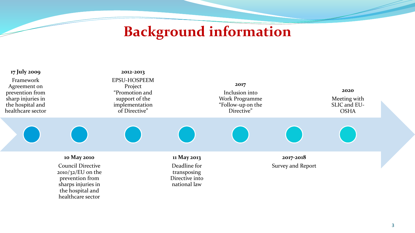# **Background information**

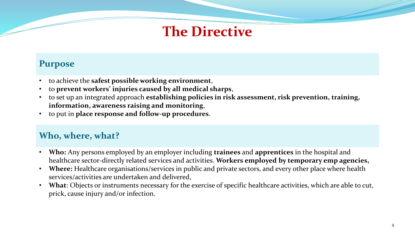# **The Directive**

### **Purpose**

- to achieve the **safest possible working environment**,
- to **prevent workers' injuries caused by all medical sharps**,
- to set up an integrated approach **establishing policies in risk assessment, risk prevention, training, information, awareness raising and monitoring**,
- to put in **place response and follow-up procedures**.

### **Who, where, what?**

- **Who:** Any persons employed by an employer including **trainees** and **apprentices** in the hospital and healthcare sector-directly related services and activities. **Workers employed by temporary emp agencies,**
- **Where:** Healthcare organisations/services in public and private sectors, and every other place where health services/activities are undertaken and delivered,
- **What**: Objects or instruments necessary for the exercise of specific healthcare activities, which are able to cut, prick, cause injury and/or infection.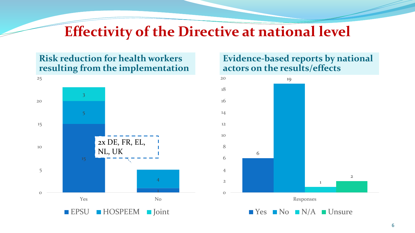## **Effectivity of the Directive at national level**

### **Risk reduction for health workers resulting from the implementation**



### **Evidence-based reports by national actors on the results/effects**

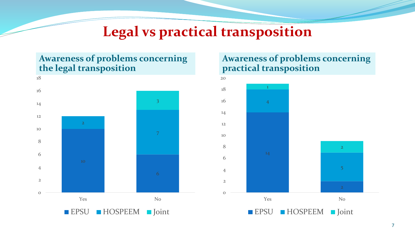# **Legal vs practical transposition**

### **Awareness of problems concerning the legal transposition**



### **Awareness of problems concerning practical transposition**

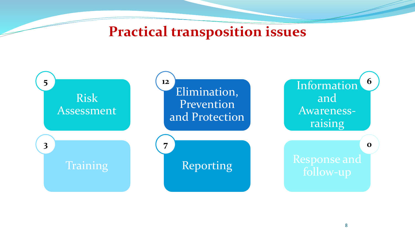# **Practical transposition issues**

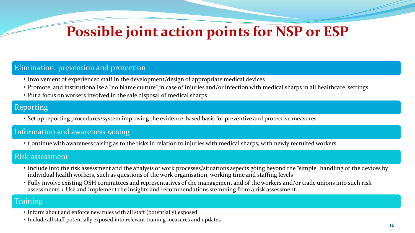# **Possible joint action points for NSP or ESP**

#### Elimination, prevention and protection

- Involvement of experienced staff in the development/design of appropriate medical devices
- Promote, and institutionalise a "no blame culture" in case of injuries and/or infection with medical sharps in all healthcare 'settings
- Put a focus on workers involved in the safe disposal of medical sharps

#### Reporting

• Set up reporting procedures/system improving the evidence-based basis for preventive and protective measures

#### Information and awareness raising

• Continue with awareness raising as to the risks in relation to injuries with medical sharps, with newly recruited workers

#### Risk assessment

- Include into the risk assessment and the analysis of work processes/situations aspects going beyond the "simple" handling of the devices by individual health workers, such as questions of the work organisation, working time and staffing levels
- Fully involve existing OSH committees and representatives of the management and of the workers and/or trade unions into such risk assessments + Use and implement the insights and recommendations stemming from a risk assessment

#### **Training**

- Inform about and enforce new rules with all staff (potentially) exposed
- Include all staff potentially exposed into relevant training measures and updates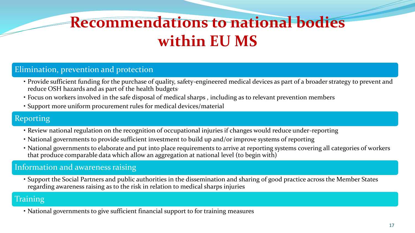# **Recommendations to national bodies within EU MS**

### Elimination, prevention and protection

- Provide sufficient funding for the purchase of quality, safety-engineered medical devices as part of a broader strategy to prevent and reduce OSH hazards and as part of the health budgets.
- Focus on workers involved in the safe disposal of medical sharps , including as to relevant prevention members
- Support more uniform procurement rules for medical devices/material

### Reporting

- Review national regulation on the recognition of occupational injuries if changes would reduce under-reporting
- National governments to provide sufficient investment to build up and/or improve systems of reporting
- National governments to elaborate and put into place requirements to arrive at reporting systems covering all categories of workers that produce comparable data which allow an aggregation at national level (to begin with)

#### Information and awareness raising

• Support the Social Partners and public authorities in the dissemination and sharing of good practice across the Member States regarding awareness raising as to the risk in relation to medical sharps injuries

#### Training

• National governments to give sufficient financial support to for training measures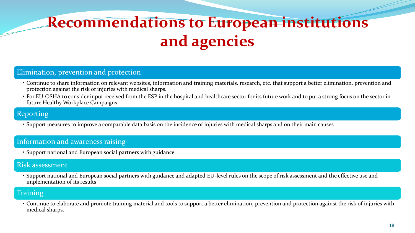# **Recommendations to European institutions and agencies**

#### Elimination, prevention and protection

- Continue to share information on relevant websites, information and training materials, research, etc. that support a better elimination, prevention and protection against the risk of injuries with medical sharps.
- For EU-OSHA to consider input received from the ESP in the hospital and healthcare sector for its future work and to put a strong focus on the sector in future Healthy Workplace Campaigns

#### Reporting

• Support measures to improve a comparable data basis on the incidence of injuries with medical sharps and on their main causes

#### Information and awareness raising

• Support national and European social partners with guidance

#### Risk assessment

• Support national and European social partners with guidance and adapted EU-level rules on the scope of risk assessment and the effective use and implementation of its results

### **Training**

• Continue to elaborate and promote training material and tools to support a better elimination, prevention and protection against the risk of injuries with medical sharps.